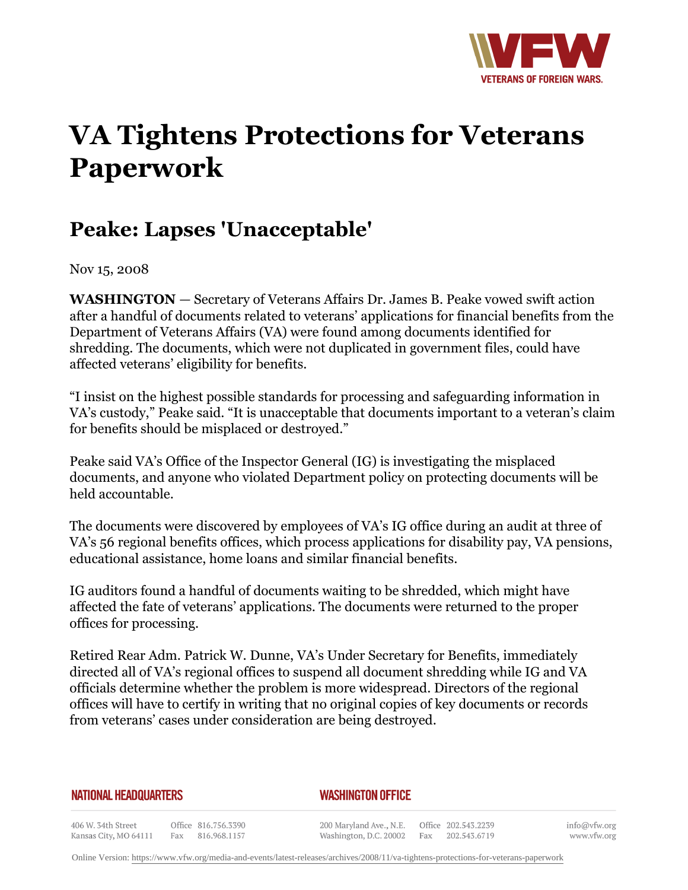

## **VA Tightens Protections for Veterans Paperwork**

## **Peake: Lapses 'Unacceptable'**

Nov 15, 2008

**WASHINGTON** *—* Secretary of Veterans Affairs Dr. James B. Peake vowed swift action after a handful of documents related to veterans' applications for financial benefits from the Department of Veterans Affairs (VA) were found among documents identified for shredding. The documents, which were not duplicated in government files, could have affected veterans' eligibility for benefits.

"I insist on the highest possible standards for processing and safeguarding information in VA's custody," Peake said. "It is unacceptable that documents important to a veteran's claim for benefits should be misplaced or destroyed."

Peake said VA's Office of the Inspector General (IG) is investigating the misplaced documents, and anyone who violated Department policy on protecting documents will be held accountable.

The documents were discovered by employees of VA's IG office during an audit at three of VA's 56 regional benefits offices, which process applications for disability pay, VA pensions, educational assistance, home loans and similar financial benefits.

IG auditors found a handful of documents waiting to be shredded, which might have affected the fate of veterans' applications. The documents were returned to the proper offices for processing.

Retired Rear Adm. Patrick W. Dunne, VA's Under Secretary for Benefits, immediately directed all of VA's regional offices to suspend all document shredding while IG and VA officials determine whether the problem is more widespread. Directors of the regional offices will have to certify in writing that no original copies of key documents or records from veterans' cases under consideration are being destroyed.

## **NATIONAL HEADQUARTERS**

## *WASHINGTON OFFICE*

406 W. 34th Street Office 816.756.3390 Fax 816.968.1157 Kansas City, MO 64111

200 Maryland Ave., N.E. Washington, D.C. 20002

Office 202.543.2239 Fax 202.543.6719

info@vfw.org www.vfw.org

Online Version:<https://www.vfw.org/media-and-events/latest-releases/archives/2008/11/va-tightens-protections-for-veterans-paperwork>